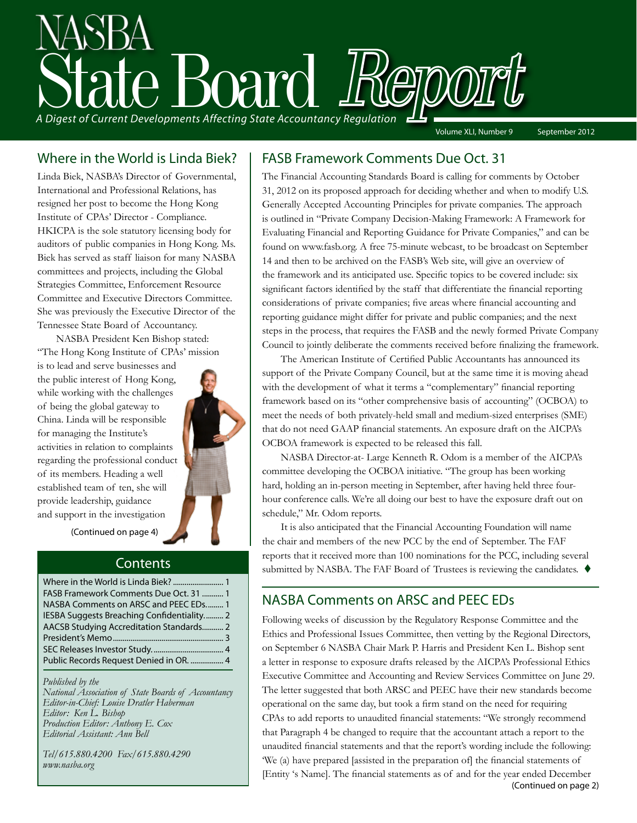

### Where in the World is Linda Biek?

Linda Biek, NASBA's Director of Governmental, International and Professional Relations, has resigned her post to become the Hong Kong Institute of CPAs' Director - Compliance. HKICPA is the sole statutory licensing body for auditors of public companies in Hong Kong. Ms. Biek has served as staff liaison for many NASBA committees and projects, including the Global Strategies Committee, Enforcement Resource Committee and Executive Directors Committee. She was previously the Executive Director of the Tennessee State Board of Accountancy.

NASBA President Ken Bishop stated: "The Hong Kong Institute of CPAs' mission

is to lead and serve businesses and the public interest of Hong Kong, while working with the challenges of being the global gateway to China. Linda will be responsible for managing the Institute's activities in relation to complaints regarding the professional conduct of its members. Heading a well established team of ten, she will provide leadership, guidance and support in the investigation



(Continued on page 4)

### **Contents**

| FASB Framework Comments Due Oct. 31  1     |  |
|--------------------------------------------|--|
| NASBA Comments on ARSC and PEEC EDs 1      |  |
| IESBA Suggests Breaching Confidentiality 2 |  |
| AACSB Studying Accreditation Standards 2   |  |
|                                            |  |
|                                            |  |
| Public Records Request Denied in OR.  4    |  |
|                                            |  |

*Published by the* 

*National Association of State Boards of Accountancy Editor-in-Chief: Louise Dratler Haberman Editor: Ken L. Bishop Production Editor: Anthony E. Cox Editorial Assistant: Ann Bell* 

*Tel/615.880.4200 Fax/615.880.4290 www.nasba.org*

### FASB Framework Comments Due Oct. 31

The Financial Accounting Standards Board is calling for comments by October 31, 2012 on its proposed approach for deciding whether and when to modify U.S. Generally Accepted Accounting Principles for private companies. The approach is outlined in "Private Company Decision-Making Framework: A Framework for Evaluating Financial and Reporting Guidance for Private Companies," and can be found on www.fasb.org. A free 75-minute webcast, to be broadcast on September 14 and then to be archived on the FASB's Web site, will give an overview of the framework and its anticipated use. Specific topics to be covered include: six significant factors identified by the staff that differentiate the financial reporting considerations of private companies; five areas where financial accounting and reporting guidance might differ for private and public companies; and the next steps in the process, that requires the FASB and the newly formed Private Company Council to jointly deliberate the comments received before finalizing the framework.

The American Institute of Certified Public Accountants has announced its support of the Private Company Council, but at the same time it is moving ahead with the development of what it terms a "complementary" financial reporting framework based on its "other comprehensive basis of accounting" (OCBOA) to meet the needs of both privately-held small and medium-sized enterprises (SME) that do not need GAAP financial statements. An exposure draft on the AICPA's OCBOA framework is expected to be released this fall.

NASBA Director-at- Large Kenneth R. Odom is a member of the AICPA's committee developing the OCBOA initiative. "The group has been working hard, holding an in-person meeting in September, after having held three fourhour conference calls. We're all doing our best to have the exposure draft out on schedule," Mr. Odom reports.

It is also anticipated that the Financial Accounting Foundation will name the chair and members of the new PCC by the end of September. The FAF reports that it received more than 100 nominations for the PCC, including several submitted by NASBA. The FAF Board of Trustees is reviewing the candidates.  $\blacklozenge$ 

### NASBA Comments on ARSC and PEEC EDs

Following weeks of discussion by the Regulatory Response Committee and the Ethics and Professional Issues Committee, then vetting by the Regional Directors, on September 6 NASBA Chair Mark P. Harris and President Ken L. Bishop sent a letter in response to exposure drafts released by the AICPA's Professional Ethics Executive Committee and Accounting and Review Services Committee on June 29. The letter suggested that both ARSC and PEEC have their new standards become operational on the same day, but took a firm stand on the need for requiring CPAs to add reports to unaudited financial statements: "We strongly recommend that Paragraph 4 be changed to require that the accountant attach a report to the unaudited financial statements and that the report's wording include the following: 'We (a) have prepared [assisted in the preparation of] the financial statements of [Entity 's Name]. The financial statements as of and for the year ended December (Continued on page 2)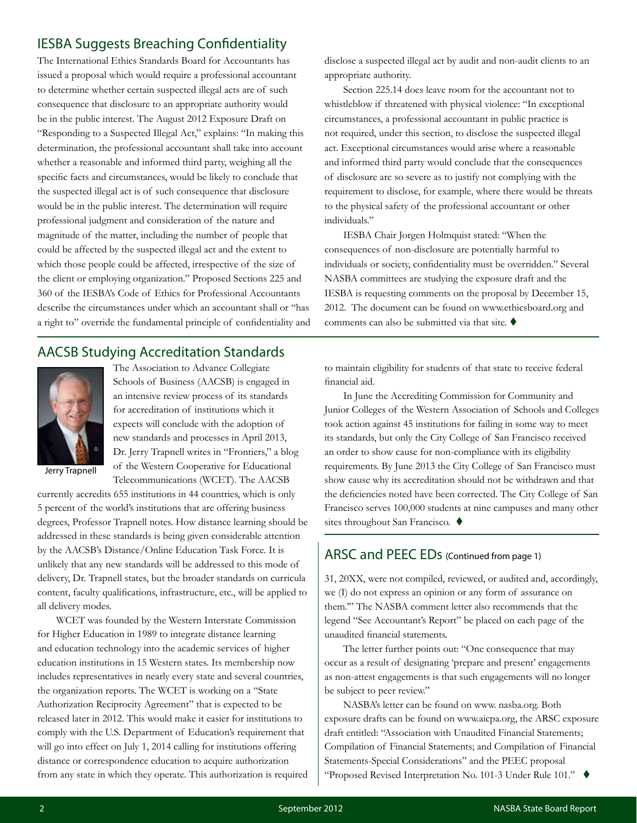### IESBA Suggests Breaching Confidentiality

The International Ethics Standards Board for Accountants has issued a proposal which would require a professional accountant to determine whether certain suspected illegal acts are of such consequence that disclosure to an appropriate authority would be in the public interest. The August 2012 Exposure Draft on "Responding to a Suspected Illegal Act," explains: "In making this determination, the professional accountant shall take into account whether a reasonable and informed third party, weighing all the specific facts and circumstances, would be likely to conclude that the suspected illegal act is of such consequence that disclosure would be in the public interest. The determination will require professional judgment and consideration of the nature and magnitude of the matter, including the number of people that could be affected by the suspected illegal act and the extent to which those people could be affected, irrespective of the size of the client or employing organization." Proposed Sections 225 and 360 of the IESBA's Code of Ethics for Professional Accountants describe the circumstances under which an accountant shall or "has a right to" override the fundamental principle of confidentiality and

### AACSB Studying Accreditation Standards



The Association to Advance Collegiate Schools of Business (AACSB) is engaged in an intensive review process of its standards for accreditation of institutions which it expects will conclude with the adoption of new standards and processes in April 2013, Dr. Jerry Trapnell writes in "Frontiers," a blog of the Western Cooperative for Educational Telecommunications (WCET). The AACSB

Jerry Trapnell

currently accredits 655 institutions in 44 countries, which is only 5 percent of the world's institutions that are offering business degrees, Professor Trapnell notes. How distance learning should be addressed in these standards is being given considerable attention by the AACSB's Distance/Online Education Task Force. It is unlikely that any new standards will be addressed to this mode of delivery, Dr. Trapnell states, but the broader standards on curricula content, faculty qualifications, infrastructure, etc., will be applied to all delivery modes.

WCET was founded by the Western Interstate Commission for Higher Education in 1989 to integrate distance learning and education technology into the academic services of higher education institutions in 15 Western states. Its membership now includes representatives in nearly every state and several countries, the organization reports. The WCET is working on a "State Authorization Reciprocity Agreement" that is expected to be released later in 2012. This would make it easier for institutions to comply with the U.S. Department of Education's requirement that will go into effect on July 1, 2014 calling for institutions offering distance or correspondence education to acquire authorization from any state in which they operate. This authorization is required disclose a suspected illegal act by audit and non-audit clients to an appropriate authority.

Section 225.14 does leave room for the accountant not to whistleblow if threatened with physical violence: "In exceptional circumstances, a professional accountant in public practice is not required, under this section, to disclose the suspected illegal act. Exceptional circumstances would arise where a reasonable and informed third party would conclude that the consequences of disclosure are so severe as to justify not complying with the requirement to disclose, for example, where there would be threats to the physical safety of the professional accountant or other individuals."

IESBA Chair Jorgen Holmquist stated: "When the consequences of non-disclosure are potentially harmful to individuals or society, confidentiality must be overridden." Several NASBA committees are studying the exposure draft and the IESBA is requesting comments on the proposal by December 15, 2012. The document can be found on www.ethicsboard.org and comments can also be submitted via that site.  $\blacklozenge$ 

to maintain eligibility for students of that state to receive federal financial aid.

In June the Accrediting Commission for Community and Junior Colleges of the Western Association of Schools and Colleges took action against 45 institutions for failing in some way to meet its standards, but only the City College of San Francisco received an order to show cause for non-compliance with its eligibility requirements. By June 2013 the City College of San Francisco must show cause why its accreditation should not be withdrawn and that the deficiencies noted have been corrected. The City College of San Francisco serves 100,000 students at nine campuses and many other sites throughout San Francisco.  $\blacklozenge$ 

### ARSC and PEEC EDs (Continued from page 1)

31, 20XX, were not compiled, reviewed, or audited and, accordingly, we (I) do not express an opinion or any form of assurance on them.'" The NASBA comment letter also recommends that the legend "See Accountant's Report" be placed on each page of the unaudited financial statements.

The letter further points out: "One consequence that may occur as a result of designating 'prepare and present' engagements as non-attest engagements is that such engagements will no longer be subject to peer review."

NASBA's letter can be found on www. nasba.org. Both exposure drafts can be found on www.aicpa.org, the ARSC exposure draft entitled: "Association with Unaudited Financial Statements; Compilation of Financial Statements; and Compilation of Financial Statements-Special Considerations" and the PEEC proposal "Proposed Revised Interpretation No. 101-3 Under Rule 101."  $\blacklozenge$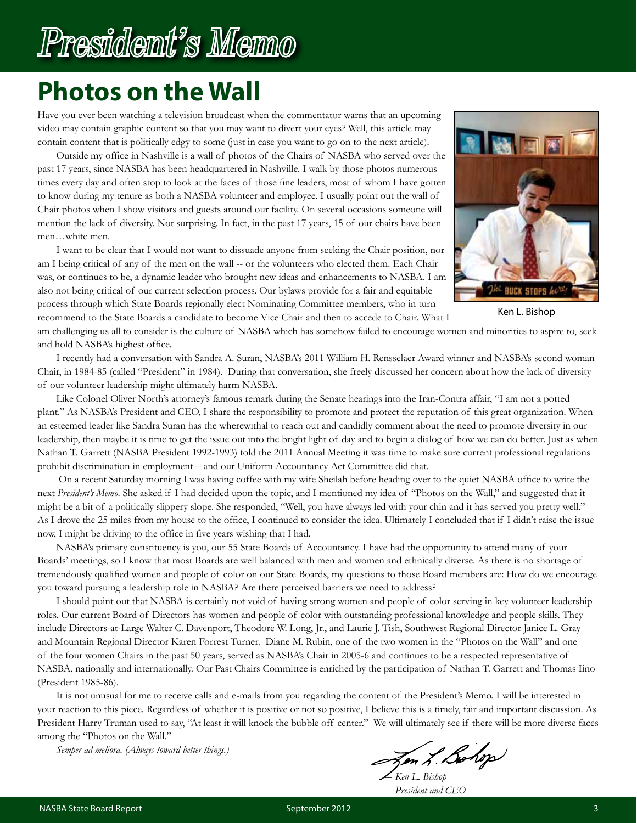# President's Memo

# **Photos on the Wall**

Have you ever been watching a television broadcast when the commentator warns that an upcoming video may contain graphic content so that you may want to divert your eyes? Well, this article may contain content that is politically edgy to some (just in case you want to go on to the next article).

Outside my office in Nashville is a wall of photos of the Chairs of NASBA who served over the past 17 years, since NASBA has been headquartered in Nashville. I walk by those photos numerous times every day and often stop to look at the faces of those fine leaders, most of whom I have gotten to know during my tenure as both a NASBA volunteer and employee. I usually point out the wall of Chair photos when I show visitors and guests around our facility. On several occasions someone will mention the lack of diversity. Not surprising. In fact, in the past 17 years, 15 of our chairs have been men…white men.

I want to be clear that I would not want to dissuade anyone from seeking the Chair position, nor am I being critical of any of the men on the wall -- or the volunteers who elected them. Each Chair was, or continues to be, a dynamic leader who brought new ideas and enhancements to NASBA. I am also not being critical of our current selection process. Our bylaws provide for a fair and equitable process through which State Boards regionally elect Nominating Committee members, who in turn recommend to the State Boards a candidate to become Vice Chair and then to accede to Chair. What I



Ken L. Bishop

am challenging us all to consider is the culture of NASBA which has somehow failed to encourage women and minorities to aspire to, seek and hold NASBA's highest office.

I recently had a conversation with Sandra A. Suran, NASBA's 2011 William H. Rensselaer Award winner and NASBA's second woman Chair, in 1984-85 (called "President" in 1984). During that conversation, she freely discussed her concern about how the lack of diversity of our volunteer leadership might ultimately harm NASBA.

Like Colonel Oliver North's attorney's famous remark during the Senate hearings into the Iran-Contra affair, "I am not a potted plant." As NASBA's President and CEO, I share the responsibility to promote and protect the reputation of this great organization. When an esteemed leader like Sandra Suran has the wherewithal to reach out and candidly comment about the need to promote diversity in our leadership, then maybe it is time to get the issue out into the bright light of day and to begin a dialog of how we can do better. Just as when Nathan T. Garrett (NASBA President 1992-1993) told the 2011 Annual Meeting it was time to make sure current professional regulations prohibit discrimination in employment – and our Uniform Accountancy Act Committee did that.

 On a recent Saturday morning I was having coffee with my wife Sheilah before heading over to the quiet NASBA office to write the next *President's Memo*. She asked if I had decided upon the topic, and I mentioned my idea of "Photos on the Wall," and suggested that it might be a bit of a politically slippery slope. She responded, "Well, you have always led with your chin and it has served you pretty well." As I drove the 25 miles from my house to the office, I continued to consider the idea. Ultimately I concluded that if I didn't raise the issue now, I might be driving to the office in five years wishing that I had.

NASBA's primary constituency is you, our 55 State Boards of Accountancy. I have had the opportunity to attend many of your Boards' meetings, so I know that most Boards are well balanced with men and women and ethnically diverse. As there is no shortage of tremendously qualified women and people of color on our State Boards, my questions to those Board members are: How do we encourage you toward pursuing a leadership role in NASBA? Are there perceived barriers we need to address?

I should point out that NASBA is certainly not void of having strong women and people of color serving in key volunteer leadership roles. Our current Board of Directors has women and people of color with outstanding professional knowledge and people skills. They include Directors-at-Large Walter C. Davenport, Theodore W. Long, Jr., and Laurie J. Tish, Southwest Regional Director Janice L. Gray and Mountain Regional Director Karen Forrest Turner. Diane M. Rubin, one of the two women in the "Photos on the Wall" and one of the four women Chairs in the past 50 years, served as NASBA's Chair in 2005-6 and continues to be a respected representative of NASBA, nationally and internationally. Our Past Chairs Committee is enriched by the participation of Nathan T. Garrett and Thomas Iino (President 1985-86).

It is not unusual for me to receive calls and e-mails from you regarding the content of the President's Memo. I will be interested in your reaction to this piece. Regardless of whether it is positive or not so positive, I believe this is a timely, fair and important discussion. As President Harry Truman used to say, "At least it will knock the bubble off center." We will ultimately see if there will be more diverse faces among the "Photos on the Wall."

*Semper ad meliora. (Always toward better things.)*

Jen L. Bohop ― *Ken L. Bishop*

*President and CEO*